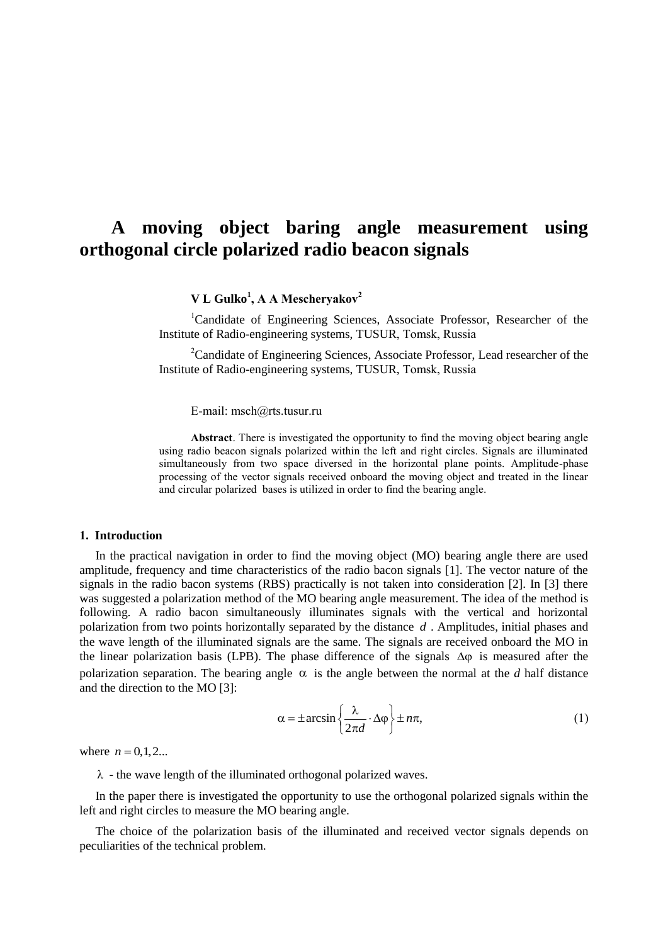# **A moving object baring angle measurement using orthogonal circle polarized radio beacon signals**

**V L Gulko<sup>1</sup> , A A Mescheryakov<sup>2</sup>**

<sup>1</sup>Candidate of Engineering Sciences, Associate Professor, Researcher of the Institute of Radio-engineering systems, TUSUR, Tomsk, Russia

<sup>2</sup>Candidate of Engineering Sciences, Associate Professor, Lead researcher of the Institute of Radio-engineering systems, TUSUR, Tomsk, Russia

E-mail: msch@rts.tusur.ru

**Abstract**. There is investigated the opportunity to find the moving object bearing angle using radio beacon signals polarized within the left and right circles. Signals are illuminated simultaneously from two space diversed in the horizontal plane points. Amplitude-phase processing of the vector signals received onboard the moving object and treated in the linear and circular polarized bases is utilized in order to find the bearing angle.

### **1. Introduction**

In the practical navigation in order to find the moving object (MO) bearing angle there are used amplitude, frequency and time characteristics of the radio bacon signals [1]. The vector nature of the signals in the radio bacon systems (RBS) practically is not taken into consideration [2]. In [3] there was suggested a polarization method of the MO bearing angle measurement. The idea of the method is following. A radio bacon simultaneously illuminates signals with the vertical and horizontal polarization from two points horizontally separated by the distance *d* . Amplitudes, initial phases and the wave length of the illuminated signals are the same. The signals are received onboard the MO in the linear polarization basis (LPB). The phase difference of the signals  $\Delta \varphi$  is measured after the polarization separation. The bearing angle  $\alpha$  is the angle between the normal at the *d* half distance and the direction to the MO [3]:

$$
\alpha = \pm \arcsin\left\{\frac{\lambda}{2\pi d} \cdot \Delta \varphi\right\} \pm n\pi,\tag{1}
$$

where  $n = 0, 1, 2...$ 

 $\lambda$  - the wave length of the illuminated orthogonal polarized waves.

In the paper there is investigated the opportunity to use the orthogonal polarized signals within the left and right circles to measure the MO bearing angle.

The choice of the polarization basis of the illuminated and received vector signals depends on peculiarities of the technical problem.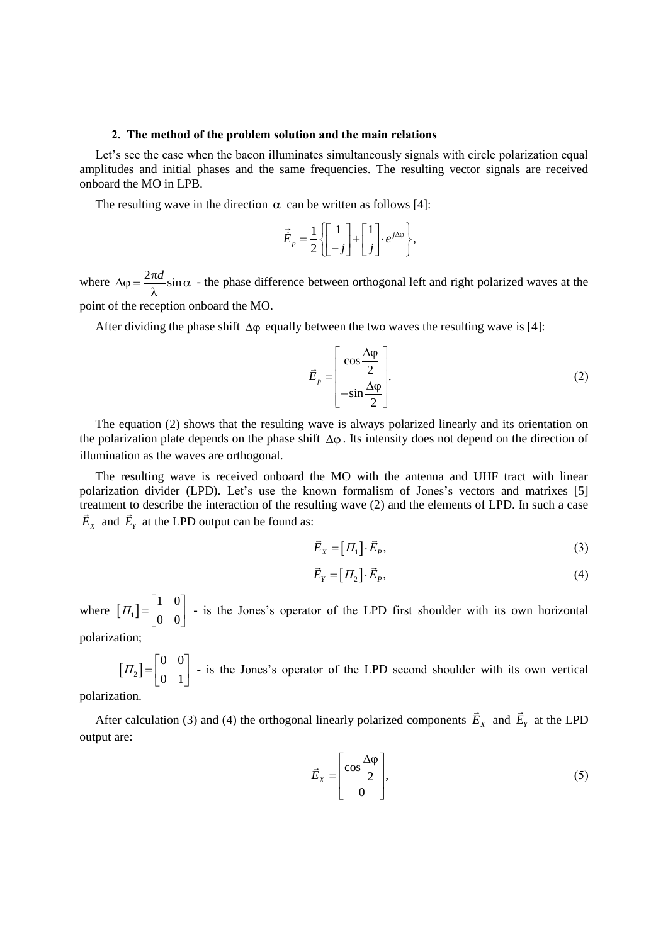#### **2. The method of the problem solution and the main relations**

Let's see the case when the bacon illuminates simultaneously signals with circle polarization equal amplitudes and initial phases and the same frequencies. The resulting vector signals are received onboard the MO in LPB.

The resulting wave in the direction  $\alpha$  can be written as follows [4]:

$$
\vec{E}_p = \frac{1}{2} \left\{ \begin{bmatrix} 1 \\ -j \end{bmatrix} + \begin{bmatrix} 1 \\ j \end{bmatrix} \cdot e^{j\Delta\phi} \right\},\,
$$

where  $\Delta \varphi = \frac{2\pi d}{\Delta} \sin \alpha$ λ - the phase difference between orthogonal left and right polarized waves at the point of the reception onboard the MO.

After dividing the phase shift  $\Delta\varphi$  equally between the two waves the resulting wave is [4]:

$$
\vec{E}_p = \begin{bmatrix} \cos \frac{\Delta \varphi}{2} \\ -\sin \frac{\Delta \varphi}{2} \end{bmatrix} .
$$
 (2)

The equation (2) shows that the resulting wave is always polarized linearly and its orientation on the polarization plate depends on the phase shift  $\Delta \varphi$ . Its intensity does not depend on the direction of illumination as the waves are orthogonal.

The resulting wave is received onboard the MO with the antenna and UHF tract with linear polarization divider (LPD). Let's use the known formalism of Jones's vectors and matrixes [5] treatment to describe the interaction of the resulting wave (2) and the elements of LPD. In such a case  $\overline{E}_X$  and  $\overline{E}_Y$  at the LPD output can be found as:

$$
\vec{E}_X = [H_1] \cdot \vec{E}_P,\tag{3}
$$

$$
\vec{E}_Y = [H_2] \cdot \vec{E}_P,\tag{4}
$$

where  $[T_1]$ 1 0 0 0  $\Pi_1$ ] =  $\begin{bmatrix} 1 & 0 \\ 0 & 0 \end{bmatrix}$  - is the Jones's operator of the LPD first shoulder with its own horizontal

polarization;

 $\left[\varPi_{2}\right]$ 0 0 0 1  $\Pi_2$ ] =  $\begin{bmatrix} 0 & 0 \\ 0 & 1 \end{bmatrix}$  - is the Jones's operator of the LPD second shoulder with its own vertical

polarization.

After calculation (3) and (4) the orthogonal linearly polarized components  $E_X$  and  $E_Y$  at the LPD output are:

$$
\vec{E}_X = \begin{bmatrix} \cos \frac{\Delta \varphi}{2} \\ 0 \end{bmatrix},\tag{5}
$$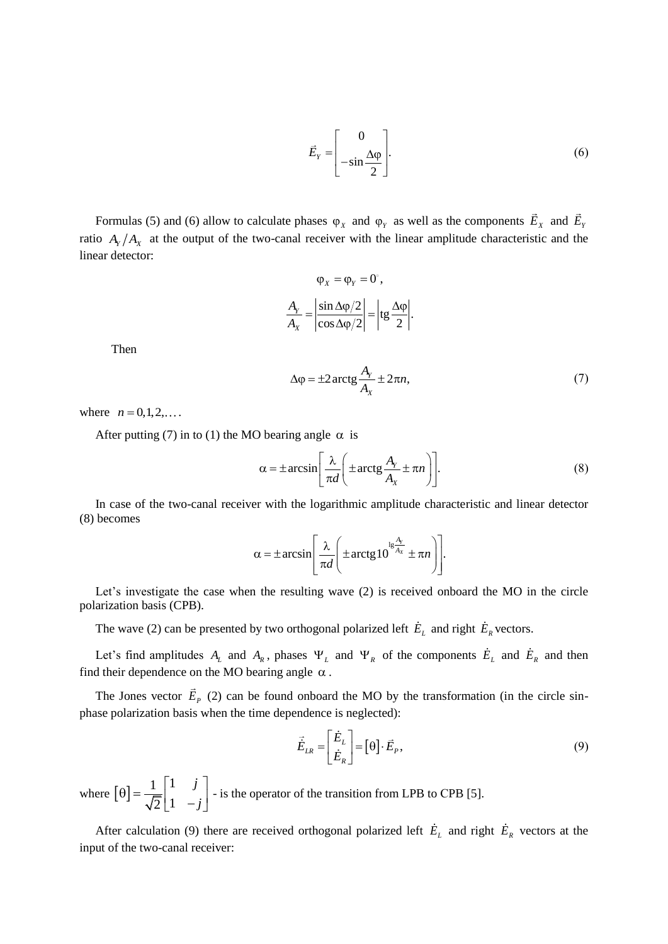$$
\vec{E}_Y = \begin{bmatrix} 0 \\ -\sin \frac{\Delta \varphi}{2} \end{bmatrix} .
$$
 (6)

Formulas (5) and (6) allow to calculate phases  $\varphi_X$  and  $\varphi_Y$  as well as the components  $\overline{E}_X$  and  $\overline{E}_Y$ ratio  $A_Y/A_X$  at the output of the two-canal receiver with the linear amplitude characteristic and the linear detector:

$$
\varphi_x = \varphi_Y = 0^\circ,
$$
  

$$
\frac{A_Y}{A_X} = \left| \frac{\sin \Delta \varphi/2}{\cos \Delta \varphi/2} \right| = \left| \text{tg} \frac{\Delta \varphi}{2} \right|.
$$

Then

$$
\Delta \varphi = \pm 2 \arctg \frac{A_Y}{A_X} \pm 2\pi n, \tag{7}
$$

where  $n = 0, 1, 2, ...$ 

After putting (7) in to (1) the MO bearing angle  $\alpha$  is

$$
\alpha = \pm \arcsin\left[\frac{\lambda}{\pi d} \left(\pm \arctg \frac{A_y}{A_x} \pm \pi n\right)\right].\tag{8}
$$

In case of the two-canal receiver with the logarithmic amplitude characteristic and linear detector (8) becomes

$$
\alpha = \pm \arcsin\left[\frac{\lambda}{\pi d} \left(\pm \arctg 10^{\frac{\lg \frac{A_v}{A_x}}{\pm}} \pm \pi n\right)\right].
$$

Let's investigate the case when the resulting wave (2) is received onboard the MO in the circle polarization basis (CPB).

The wave (2) can be presented by two orthogonal polarized left  $E_L$  and right  $E_R$  vectors.

Let's find amplitudes  $A_L$  and  $A_R$ , phases  $\Psi_L$  and  $\Psi_R$  of the components  $E_L$  and  $E_R$  and then find their dependence on the MO bearing angle  $\alpha$ .

The Jones vector  $E_p$  (2) can be found onboard the MO by the transformation (in the circle sinphase polarization basis when the time dependence is neglected):

$$
\vec{\dot{E}}_{LR} = \begin{bmatrix} \dot{E}_L \\ \dot{E}_R \end{bmatrix} = \begin{bmatrix} \theta \end{bmatrix} \cdot \vec{E}_P, \tag{9}
$$

where  $[\theta]$  $1 \n\begin{bmatrix} 1 \end{bmatrix}$  $2 \mid 1$ *j*  $\theta$ ] =  $\frac{1}{\sqrt{2}}\begin{bmatrix} 1 & j \\ 1 & -j \end{bmatrix}$ . - is the operator of the transition from LPB to СPB [5].

After calculation (9) there are received orthogonal polarized left  $E_L$  and right  $E_R$  vectors at the input of the two-canal receiver: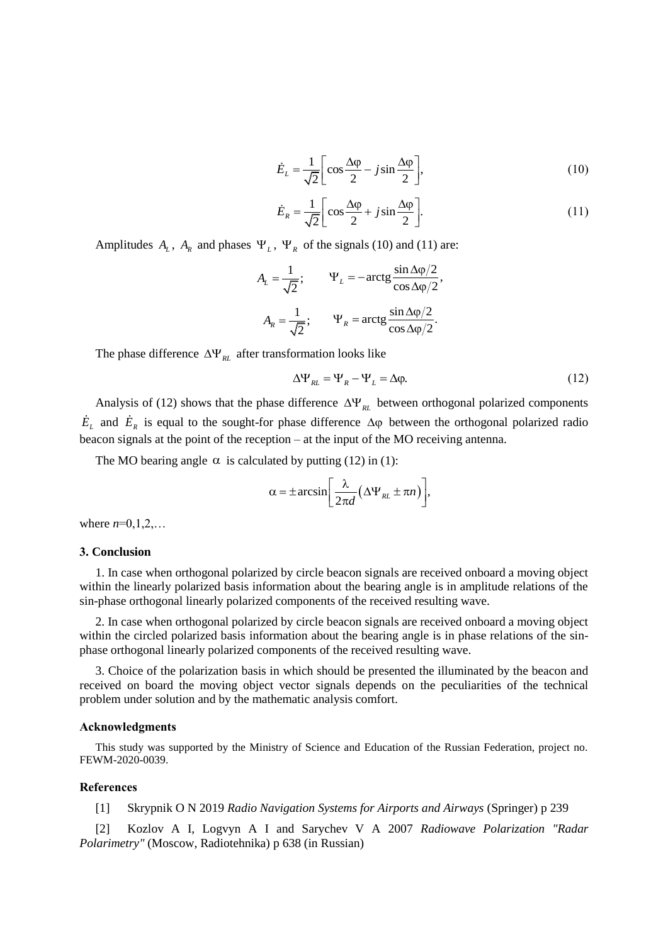$$
\dot{E}_L = \frac{1}{\sqrt{2}} \left[ \cos \frac{\Delta \varphi}{2} - j \sin \frac{\Delta \varphi}{2} \right],\tag{10}
$$

$$
\dot{E}_R = \frac{1}{\sqrt{2}} \left[ \cos \frac{\Delta \varphi}{2} + j \sin \frac{\Delta \varphi}{2} \right].
$$
 (11)

Amplitudes  $A_L$ ,  $A_R$  and phases  $\Psi_L$ ,  $\Psi_R$  of the signals (10) and (11) are:

$$
A_L = \frac{1}{\sqrt{2}}; \qquad \Psi_L = -\arctg \frac{\sin \Delta \phi/2}{\cos \Delta \phi/2},
$$

$$
A_R = \frac{1}{\sqrt{2}}; \qquad \Psi_R = \arctg \frac{\sin \Delta \phi/2}{\cos \Delta \phi/2}.
$$

The phase difference  $\Delta \Psi_{RL}$  after transformation looks like

$$
\Delta \Psi_{RL} = \Psi_R - \Psi_L = \Delta \varphi. \tag{12}
$$

Analysis of (12) shows that the phase difference  $\Delta \Psi_{RL}$  between orthogonal polarized components  $E_L$  and  $E_R$  is equal to the sought-for phase difference  $\Delta \varphi$  between the orthogonal polarized radio beacon signals at the point of the reception – at the input of the MO receiving antenna.

The MO bearing angle  $\alpha$  is calculated by putting (12) in (1):

$$
\alpha = \pm \arcsin\left[\frac{\lambda}{2\pi d} \left(\Delta \Psi_{RL} \pm \pi n\right)\right],
$$

where  $n=0,1,2,...$ 

#### **3. Conclusion**

1. In case when orthogonal polarized by circle beacon signals are received onboard a moving object within the linearly polarized basis information about the bearing angle is in amplitude relations of the sin-phase orthogonal linearly polarized components of the received resulting wave.

2. In case when orthogonal polarized by circle beacon signals are received onboard a moving object within the circled polarized basis information about the bearing angle is in phase relations of the sinphase orthogonal linearly polarized components of the received resulting wave.

3. Choice of the polarization basis in which should be presented the illuminated by the beacon and received on board the moving object vector signals depends on the peculiarities of the technical problem under solution and by the mathematic analysis comfort.

#### **Acknowledgments**

This study was supported by the Ministry of Science and Education of the Russian Federation, project no. FEWM-2020-0039.

## **References**

[1] Skrypnik O N 2019 *Radio Navigation Systems for Airports and Airways* (Springer) p 239

[2] Kozlov A I, Logvyn A I and Sarychev V A 2007 *Radiowave Polarization "Radar Polarimetry"* (Moscow, Radiotehnika) p 638 (in Russian)